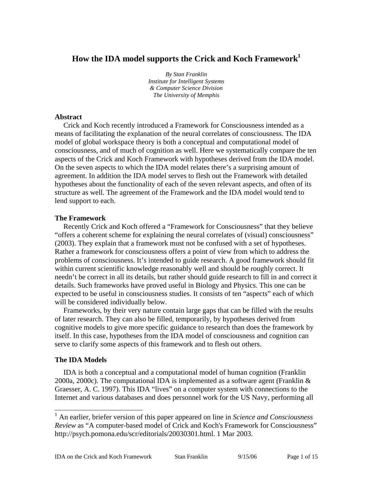# **How the IDA model supports the Crick and Koch Framework1**

*By Stan Franklin Institute for Intelligent Systems & Computer Science Division The University of Memphis*

## **Abstract**

Crick and Koch recently introduced a Framework for Consciousness intended as a means of facilitating the explanation of the neural correlates of consciousness. The IDA model of global workspace theory is both a conceptual and computational model of consciousness, and of much of cognition as well. Here we systematically compare the ten aspects of the Crick and Koch Framework with hypotheses derived from the IDA model. On the seven aspects to which the IDA model relates there's a surprising amount of agreement. In addition the IDA model serves to flesh out the Framework with detailed hypotheses about the functionality of each of the seven relevant aspects, and often of its structure as well. The agreement of the Framework and the IDA model would tend to lend support to each.

## **The Framework**

Recently Crick and Koch offered a "Framework for Consciousness" that they believe "offers a coherent scheme for explaining the neural correlates of (visual) consciousness" (2003). They explain that a framework must not be confused with a set of hypotheses. Rather a framework for consciousness offers a point of view from which to address the problems of consciousness. It's intended to guide research. A good framework should fit within current scientific knowledge reasonably well and should be roughly correct. It needn't be correct in all its details, but rather should guide research to fill in and correct it details. Such frameworks have proved useful in Biology and Physics. This one can be expected to be useful in consciousness studies. It consists of ten "aspects" each of which will be considered individually below.

Frameworks, by their very nature contain large gaps that can be filled with the results of later research. They can also be filled, temporarily, by hypotheses derived from cognitive models to give more specific guidance to research than does the framework by itself. In this case, hypotheses from the IDA model of consciousness and cognition can serve to clarify some aspects of this framework and to flesh out others.

## **The IDA Models**

 $\overline{\phantom{a}}$ 

IDA is both a conceptual and a computational model of human cognition (Franklin 2000a, 2000c). The computational IDA is implemented as a software agent (Franklin  $\&$ Graesser, A. C. 1997). This IDA "lives" on a computer system with connections to the Internet and various databases and does personnel work for the US Navy, performing all

<sup>1</sup> An earlier, briefer version of this paper appeared on line in *Science and Consciousness Review* as "A computer-based model of Crick and Koch's Framework for Consciousness" http://psych.pomona.edu/scr/editorials/20030301.html. 1 Mar 2003.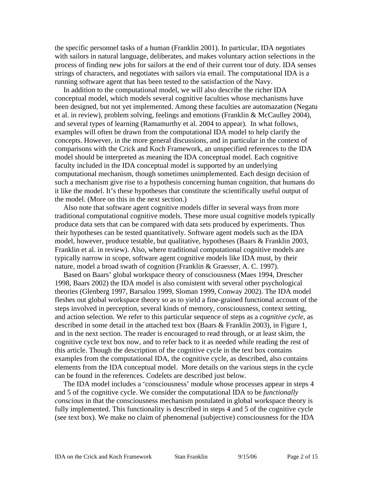the specific personnel tasks of a human (Franklin 2001). In particular, IDA negotiates with sailors in natural language, deliberates, and makes voluntary action selections in the process of finding new jobs for sailors at the end of their current tour of duty. IDA senses strings of characters, and negotiates with sailors via email. The computational IDA is a running software agent that has been tested to the satisfaction of the Navy.

In addition to the computational model, we will also describe the richer IDA conceptual model, which models several cognitive faculties whose mechanisms have been designed, but not yet implemented. Among these faculties are automazation (Negatu et al. in review), problem solving, feelings and emotions (Franklin & McCaulley 2004), and several types of learning (Ramamurthy et al. 2004 to appear). In what follows, examples will often be drawn from the computational IDA model to help clarify the concepts. However, in the more general discussions, and in particular in the context of comparisons with the Crick and Koch Framework, an unspecified references to the IDA model should be interpreted as meaning the IDA conceptual model. Each cognitive faculty included in the IDA conceptual model is supported by an underlying computational mechanism, though sometimes unimplemented. Each design decision of such a mechanism give rise to a hypothesis concerning human cognition, that humans do it like the model. It's these hypotheses that constitute the scientifically useful output of the model. (More on this in the next section.)

Also note that software agent cognitive models differ in several ways from more traditional computational cognitive models. These more usual cognitive models typically produce data sets that can be compared with data sets produced by experiments. Thus their hypotheses can be tested quantitatively. Software agent models such as the IDA model, however, produce testable, but qualitative, hypotheses (Baars & Franklin 2003, Franklin et al. in review). Also, where traditional computational cognitive models are typically narrow in scope, software agent cognitive models like IDA must, by their nature, model a broad swath of cognition (Franklin & Graesser, A. C. 1997).

Based on Baars' global workspace theory of consciousness (Maes 1994, Drescher 1998, Baars 2002) the IDA model is also consistent with several other psychological theories (Glenberg 1997, Barsalou 1999, Sloman 1999, Conway 2002). The IDA model fleshes out global workspace theory so as to yield a fine-grained functional account of the steps involved in perception, several kinds of memory, consciousness, context setting, and action selection. We refer to this particular sequence of steps as a *cognitive cycle,* as described in some detail in the attached text box (Baars & Franklin 2003), in Figure 1, and in the next section. The reader is encouraged to read through, or at least skim, the cognitive cycle text box now, and to refer back to it as needed while reading the rest of this article. Though the description of the cognitive cycle in the text box contains examples from the computational IDA, the cognitive cycle, as described, also contains elements from the IDA conceptual model. More details on the various steps in the cycle can be found in the references. Codelets are described just below.

The IDA model includes a 'consciousness' module whose processes appear in steps 4 and 5 of the cognitive cycle. We consider the computational IDA to be *functionally conscious* in that the consciousness mechanism postulated in global workspace theory is fully implemented. This functionality is described in steps 4 and 5 of the cognitive cycle (see text box). We make no claim of phenomenal (subjective) consciousness for the IDA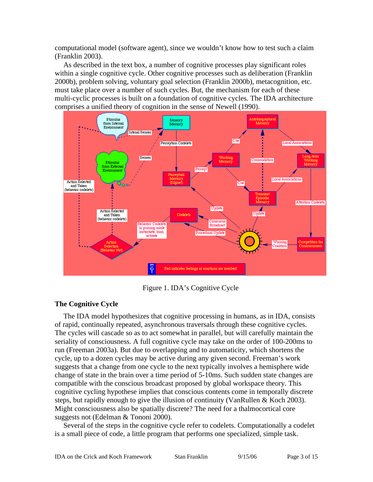computational model (software agent), since we wouldn't know how to test such a claim (Franklin 2003).

As described in the text box, a number of cognitive processes play significant roles within a single cognitive cycle. Other cognitive processes such as deliberation (Franklin 2000b), problem solving, voluntary goal selection (Franklin 2000b), metacognition, etc. must take place over a number of such cycles. But, the mechanism for each of these multi-cyclic processes is built on a foundation of cognitive cycles. The IDA architecture comprises a unified theory of cognition in the sense of Newell (1990).



Figure 1. IDA's Cognitive Cycle

## **The Cognitive Cycle**

The IDA model hypothesizes that cognitive processing in humans, as in IDA, consists of rapid, continually repeated, asynchronous traversals through these cognitive cycles. The cycles will cascade so as to act somewhat in parallel, but will carefully maintain the seriality of consciousness. A full cognitive cycle may take on the order of 100-200ms to run (Freeman 2003a). But due to overlapping and to automaticity, which shortens the cycle, up to a dozen cycles may be active during any given second. Freeman's work suggests that a change from one cycle to the next typically involves a hemisphere wide change of state in the brain over a time period of 5-10ms. Such sudden state changes are compatible with the conscious broadcast proposed by global workspace theory. This cognitive cycling hypothese implies that conscious contents come in temporally discrete steps, but rapidly enough to give the illusion of continuity (VanRullen & Koch 2003). Might consciousness also be spatially discrete? The need for a thalmocortical core suggests not (Edelman & Tononi 2000).

Several of the steps in the cognitive cycle refer to codelets. Computationally a codelet is a small piece of code, a little program that performs one specialized, simple task.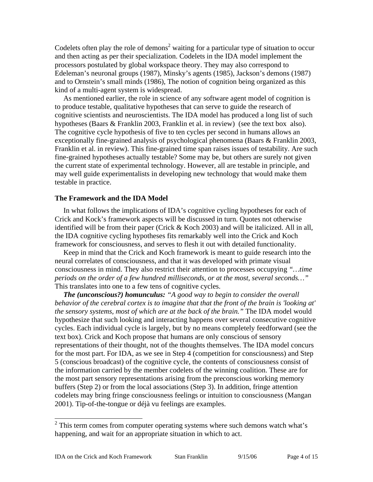Codelets often play the role of demons<sup>2</sup> waiting for a particular type of situation to occur and then acting as per their specialization. Codelets in the IDA model implement the processors postulated by global workspace theory. They may also correspond to Edeleman's neuronal groups (1987), Minsky's agents (1985), Jackson's demons (1987) and to Ornstein's small minds (1986), The notion of cognition being organized as this kind of a multi-agent system is widespread.

As mentioned earlier, the role in science of any software agent model of cognition is to produce testable, qualitative hypotheses that can serve to guide the research of cognitive scientists and neuroscientists. The IDA model has produced a long list of such hypotheses (Baars & Franklin 2003, Franklin et al. in review) (see the text box also). The cognitive cycle hypothesis of five to ten cycles per second in humans allows an exceptionally fine-grained analysis of psychological phenomena (Baars & Franklin 2003, Franklin et al. in review). This fine-grained time span raises issues of testability. Are such fine-grained hypotheses actually testable? Some may be, but others are surely not given the current state of experimental technology. However, all are testable in principle, and may well guide experimentalists in developing new technology that would make them testable in practice.

## **The Framework and the IDA Model**

In what follows the implications of IDA's cognitive cycling hypotheses for each of Crick and Kock's framework aspects will be discussed in turn. Quotes not otherwise identified will be from their paper (Crick & Koch 2003) and will be italicized. All in all, the IDA cognitive cycling hypotheses fits remarkably well into the Crick and Koch framework for consciousness, and serves to flesh it out with detailed functionality.

Keep in mind that the Crick and Koch framework is meant to guide research into the neural correlates of consciousness, and that it was developed with primate visual consciousness in mind. They also restrict their attention to processes occupying *"…time periods on the order of a few hundred milliseconds, or at the most, several seconds…"* This translates into one to a few tens of cognitive cycles.

*The (unconscious?) homunculus: "A good way to begin to consider the overall behavior of the cerebral cortex is to imagine that that the front of the brain is 'looking at' the sensory systems, most of which are at the back of the brain."* The IDA model would hypothesize that such looking and interacting happens over several consecutive cognitive cycles. Each individual cycle is largely, but by no means completely feedforward (see the text box). Crick and Koch propose that humans are only conscious of sensory representations of their thought, not of the thoughts themselves. The IDA model concurs for the most part. For IDA, as we see in Step 4 (competition for consciousness) and Step 5 (conscious broadcast) of the cognitive cycle, the contents of consciousness consist of the information carried by the member codelets of the winning coalition. These are for the most part sensory representations arising from the preconscious working memory buffers (Step 2) or from the local associations (Step 3). In addition, fringe attention codelets may bring fringe consciousness feelings or intuition to consciousness (Mangan 2001). Tip-of-the-tongue or déjà vu feelings are examples.

<sup>&</sup>lt;sup>2</sup> This term comes from computer operating systems where such demons watch what's happening, and wait for an appropriate situation in which to act.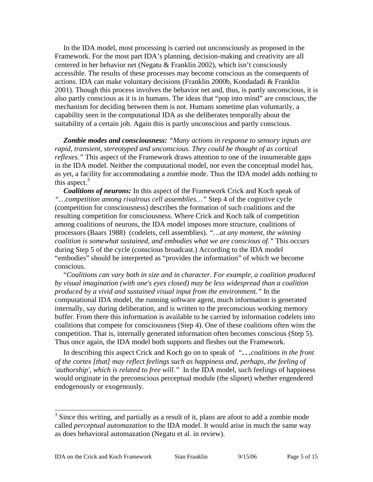In the IDA model, most processing is carried out unconsciously as proposed in the Framework. For the most part IDA's planning, decision-making and creativity are all centered in her behavior net (Negatu  $&$  Franklin 2002), which isn't consciously accessible. The results of these processes may become conscious as the consequents of actions. IDA can make voluntary decisions (Franklin 2000b, Kondadadi & Franklin 2001). Though this process involves the behavior net and, thus, is partly unconscious, it is also partly conscious as it is in humans. The ideas that "pop into mind" are conscious, the mechanism for deciding between them is not. Humans sometime plan voluntarily, a capability seen in the computational IDA as she deliberates temporally about the suitability of a certain job. Again this is partly unconscious and partly conscious.

*Zombie modes and consciousness: "Many actions in response to sensory inputs are rapid, transient, stereotyped and unconscious. They could be thought of as cortical reflexes.*" This aspect of the Framework draws attention to one of the innumerable gaps in the IDA model. Neither the computational model, nor even the conceptual model has, as yet, a facility for accommodating a zombie mode. Thus the IDA model adds nothing to this aspect. $3$ 

*Coalitions of neurons:* In this aspect of the Framework Crick and Koch speak of *"…competition among rivalrous cell assemblies…"* Step 4 of the cognitive cycle (competition for consciousness) describes the formation of such coalitions and the resulting competition for consciousness. Where Crick and Koch talk of competition among coalitions of neurons, the IDA model imposes more structure, coalitions of processors (Baars 1988) (codelets, cell assemblies). *"…at any moment, the winning coalition is somewhat sustained, and embodies what we are conscious of."* This occurs during Step 5 of the cycle (conscious broadcast.) According to the IDA model "embodies" should be interpreted as "provides the information" of which we become conscious.

"*Coalitions can vary both in size and in character. For example, a coalition produced by visual imagination (with one's eyes closed) may be less widespread than a coalition produced by a vivid and sustained visual input from the environment."* In the computational IDA model, the running software agent, much information is generated internally, say during deliberation, and is written to the preconscious working memory buffer. From there this information is available to be carried by information codelets into coalitions that compete for consciousness (Step 4). One of these coalitions often wins the competition. That is, internally generated information often becomes conscious (Step 5). Thus once again, the IDA model both supports and fleshes out the Framework.

In describing this aspect Crick and Koch go on to speak of *"…coalitions in the front of the cortex [that] may reflect feelings such as happiness and, perhaps, the feeling of 'authorship', which is related to free will."* In the IDA model, such feelings of happiness would originate in the preconscious perceptual module (the slipnet) whether engendered endogenously or exogenously.

 $\overline{\phantom{a}}$ 

 $3$  Since this writing, and partially as a result of it, plans are afoot to add a zombie mode called *perceptual automazation* to the IDA model. It would arise in much the same way as does behavioral automazation (Negatu et al. in review).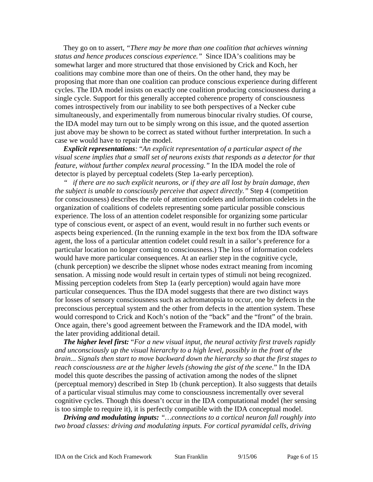They go on to assert, *"There may be more than one coalition that achieves winning status and hence produces conscious experience."* Since IDA's coalitions may be somewhat larger and more structured that those envisioned by Crick and Koch, her coalitions may combine more than one of theirs. On the other hand, they may be proposing that more than one coalition can produce conscious experience during different cycles. The IDA model insists on exactly one coalition producing consciousness during a single cycle. Support for this generally accepted coherence property of consciousness comes introspectively from our inability to see both perspectives of a Necker cube simultaneously, and experimentally from numerous binocular rivalry studies. Of course, the IDA model may turn out to be simply wrong on this issue, and the quoted assertion just above may be shown to be correct as stated without further interpretation. In such a case we would have to repair the model.

*Explicit representations:* "*An explicit representation of a particular aspect of the visual scene implies that a small set of neurons exists that responds as a detector for that feature, without further complex neural processing."* In the IDA model the role of detector is played by perceptual codelets (Step 1a-early perception).

*" if there are no such explicit neurons, or if they are all lost by brain damage, then the subject is unable to consciously perceive that aspect directly."* Step 4 (competition for consciousness) describes the role of attention codelets and information codelets in the organization of coalitions of codelets representing some particular possible conscious experience. The loss of an attention codelet responsible for organizing some particular type of conscious event, or aspect of an event, would result in no further such events or aspects being experienced. (In the running example in the text box from the IDA software agent, the loss of a particular attention codelet could result in a sailor's preference for a particular location no longer coming to consciousness.) The loss of information codelets would have more particular consequences. At an earlier step in the cognitive cycle, (chunk perception) we describe the slipnet whose nodes extract meaning from incoming sensation. A missing node would result in certain types of stimuli not being recognized. Missing perception codelets from Step 1a (early perception) would again have more particular consequences. Thus the IDA model suggests that there are two distinct ways for losses of sensory consciousness such as achromatopsia to occur, one by defects in the preconscious perceptual system and the other from defects in the attention system. These would correspond to Crick and Koch's notion of the "back" and the "front" of the brain. Once again, there's good agreement between the Framework and the IDA model, with the later providing additional detail.

*The higher level first:* "*For a new visual input, the neural activity first travels rapidly and unconsciously up the visual hierarchy to a high level, possibly in the front of the brain... Signals then start to move backward down the hierarchy so that the first stages to reach consciousness are at the higher levels (showing the gist of the scene*." In the IDA model this quote describes the passing of activation among the nodes of the slipnet (perceptual memory) described in Step 1b (chunk perception). It also suggests that details of a particular visual stimulus may come to consciousness incrementally over several cognitive cycles. Though this doesn't occur in the IDA computational model (her sensing is too simple to require it), it is perfectly compatible with the IDA conceptual model.

*Driving and modulating inputs: "…connections to a cortical neuron fall roughly into two broad classes: driving and modulating inputs. For cortical pyramidal cells, driving*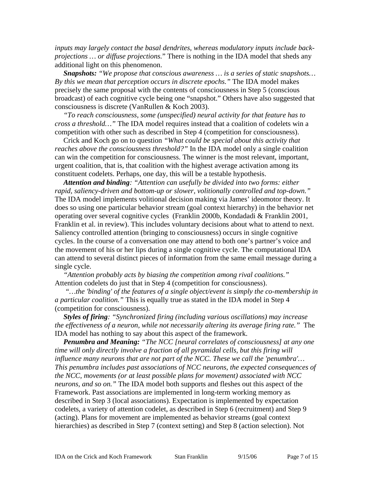*inputs may largely contact the basal dendrites, whereas modulatory inputs include backprojections … or diffuse projections.*" There is nothing in the IDA model that sheds any additional light on this phenomenon.

*Snapshots: "We propose that conscious awareness … is a series of static snapshots… By this we mean that perception occurs in discrete epochs."* The IDA model makes precisely the same proposal with the contents of consciousness in Step 5 (conscious broadcast) of each cognitive cycle being one "snapshot." Others have also suggested that consciousness is discrete (VanRullen & Koch 2003).

*"To reach consciousness, some (unspecified) neural activity for that feature has to cross a threshold…"* The IDA model requires instead that a coalition of codelets win a competition with other such as described in Step 4 (competition for consciousness).

Crick and Koch go on to question *"What could be special about this activity that reaches above the consciousness threshold?"* In the IDA model only a single coalition can win the competition for consciousness. The winner is the most relevant, important, urgent coalition, that is, that coalition with the highest average activation among its constituent codelets. Perhaps, one day, this will be a testable hypothesis.

*Attention and binding: "Attention can usefully be divided into two forms: either rapid, saliency-driven and bottom-up or slower, volitionally controlled and top-down."*  The IDA model implements volitional decision making via James' ideomotor theory. It does so using one particular behavior stream (goal context hierarchy) in the behavior net operating over several cognitive cycles (Franklin 2000b, Kondadadi & Franklin 2001, Franklin et al. in review). This includes voluntary decisions about what to attend to next. Saliency controlled attention (bringing to consciousness) occurs in single cognitive cycles. In the course of a conversation one may attend to both one's partner's voice and the movement of his or her lips during a single cognitive cycle. The computational IDA can attend to several distinct pieces of information from the same email message during a single cycle.

*"Attention probably acts by biasing the competition among rival coalitions."* Attention codelets do just that in Step 4 (competition for consciousness).

*"…the 'binding' of the features of a single object/event is simply the co-membership in a particular coalition."* This is equally true as stated in the IDA model in Step 4 (competition for consciousness).

*Styles of firing: "Synchronized firing (including various oscillations) may increase the effectiveness of a neuron, while not necessarily altering its average firing rate."* The IDA model has nothing to say about this aspect of the framework.

*Penumbra and Meaning: "The NCC [neural correlates of consciousness] at any one time will only directly involve a fraction of all pyramidal cells, but this firing will influence many neurons that are not part of the NCC. These we call the 'penumbra'… This penumbra includes past associations of NCC neurons, the expected consequences of the NCC, movements (or at least possible plans for movement) associated with NCC neurons, and so on."* The IDA model both supports and fleshes out this aspect of the Framework. Past associations are implemented in long-term working memory as described in Step 3 (local associations). Expectation is implemented by expectation codelets, a variety of attention codelet, as described in Step 6 (recruitment) and Step 9 (acting). Plans for movement are implemented as behavior streams (goal context hierarchies) as described in Step 7 (context setting) and Step 8 (action selection). Not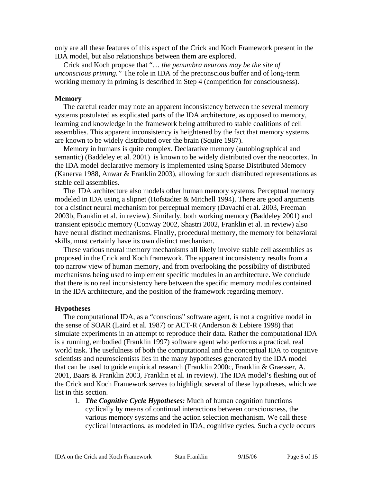only are all these features of this aspect of the Crick and Koch Framework present in the IDA model, but also relationships between them are explored.

Crick and Koch propose that "… *the penumbra neurons may be the site of unconscious priming."* The role in IDA of the preconscious buffer and of long-term working memory in priming is described in Step 4 (competition for consciousness).

#### **Memory**

The careful reader may note an apparent inconsistency between the several memory systems postulated as explicated parts of the IDA architecture, as opposed to memory, learning and knowledge in the framework being attributed to stable coalitions of cell assemblies. This apparent inconsistency is heightened by the fact that memory systems are known to be widely distributed over the brain (Squire 1987).

Memory in humans is quite complex. Declarative memory (autobiographical and semantic) (Baddeley et al. 2001) is known to be widely distributed over the neocortex. In the IDA model declarative memory is implemented using Sparse Distributed Memory (Kanerva 1988, Anwar & Franklin 2003), allowing for such distributed representations as stable cell assemblies.

The IDA architecture also models other human memory systems. Perceptual memory modeled in IDA using a slipnet (Hofstadter & Mitchell 1994). There are good arguments for a distinct neural mechanism for perceptual memory (Davachi et al. 2003, Freeman 2003b, Franklin et al. in review). Similarly, both working memory (Baddeley 2001) and transient episodic memory (Conway 2002, Shastri 2002, Franklin et al. in review) also have neural distinct mechanisms. Finally, procedural memory, the memory for behavioral skills, must certainly have its own distinct mechanism.

These various neural memory mechanisms all likely involve stable cell assemblies as proposed in the Crick and Koch framework. The apparent inconsistency results from a too narrow view of human memory, and from overlooking the possibility of distributed mechanisms being used to implement specific modules in an architecture. We conclude that there is no real inconsistency here between the specific memory modules contained in the IDA architecture, and the position of the framework regarding memory.

#### **Hypotheses**

The computational IDA, as a "conscious" software agent, is not a cognitive model in the sense of SOAR (Laird et al. 1987) or ACT-R (Anderson & Lebiere 1998) that simulate experiments in an attempt to reproduce their data. Rather the computational IDA is a running, embodied (Franklin 1997) software agent who performs a practical, real world task. The usefulness of both the computational and the conceptual IDA to cognitive scientists and neuroscientists lies in the many hypotheses generated by the IDA model that can be used to guide empirical research (Franklin 2000c, Franklin & Graesser, A. 2001, Baars & Franklin 2003, Franklin et al. in review). The IDA model's fleshing out of the Crick and Koch Framework serves to highlight several of these hypotheses, which we list in this section.

1. *The Cognitive Cycle Hypotheses:* Much of human cognition functions cyclically by means of continual interactions between consciousness, the various memory systems and the action selection mechanism. We call these cyclical interactions, as modeled in IDA, cognitive cycles. Such a cycle occurs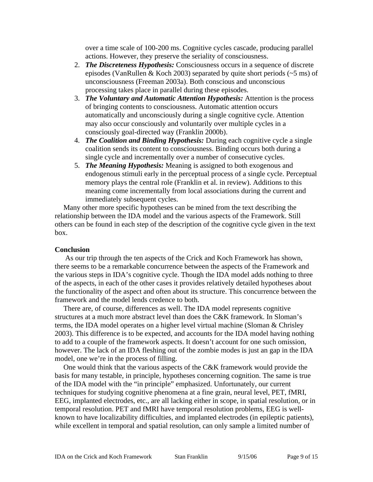over a time scale of 100-200 ms. Cognitive cycles cascade, producing parallel actions. However, they preserve the seriality of consciousness.

- 2. *The Discreteness Hypothesis:* Consciousness occurs in a sequence of discrete episodes (VanRullen & Koch 2003) separated by quite short periods  $(-5 \text{ ms})$  of unconsciousness (Freeman 2003a). Both conscious and unconscious processing takes place in parallel during these episodes.
- 3. *The Voluntary and Automatic Attention Hypothesis:* Attention is the process of bringing contents to consciousness. Automatic attention occurs automatically and unconsciously during a single cognitive cycle. Attention may also occur consciously and voluntarily over multiple cycles in a consciously goal-directed way (Franklin 2000b).
- 4. *The Coalition and Binding Hypothesis:* During each cognitive cycle a single coalition sends its content to consciousness. Binding occurs both during a single cycle and incrementally over a number of consecutive cycles.
- 5. *The Meaning Hypothesis:* Meaning is assigned to both exogenous and endogenous stimuli early in the perceptual process of a single cycle. Perceptual memory plays the central role (Franklin et al. in review). Additions to this meaning come incrementally from local associations during the current and immediately subsequent cycles.

Many other more specific hypotheses can be mined from the text describing the relationship between the IDA model and the various aspects of the Framework. Still others can be found in each step of the description of the cognitive cycle given in the text box.

## **Conclusion**

 As our trip through the ten aspects of the Crick and Koch Framework has shown, there seems to be a remarkable concurrence between the aspects of the Framework and the various steps in IDA's cognitive cycle. Though the IDA model adds nothing to three of the aspects, in each of the other cases it provides relatively detailed hypotheses about the functionality of the aspect and often about its structure. This concurrence between the framework and the model lends credence to both.

There are, of course, differences as well. The IDA model represents cognitive structures at a much more abstract level than does the C&K framework. In Sloman's terms, the IDA model operates on a higher level virtual machine (Sloman & Chrisley 2003). This difference is to be expected, and accounts for the IDA model having nothing to add to a couple of the framework aspects. It doesn't account for one such omission, however. The lack of an IDA fleshing out of the zombie modes is just an gap in the IDA model, one we're in the process of filling.

One would think that the various aspects of the C&K framework would provide the basis for many testable, in principle, hypotheses concerning cognition. The same is true of the IDA model with the "in principle" emphasized. Unfortunately, our current techniques for studying cognitive phenomena at a fine grain, neural level, PET, fMRI, EEG, implanted electrodes, etc., are all lacking either in scope, in spatial resolution, or in temporal resolution. PET and fMRI have temporal resolution problems, EEG is wellknown to have localizability difficulties, and implanted electrodes (in epileptic patients), while excellent in temporal and spatial resolution, can only sample a limited number of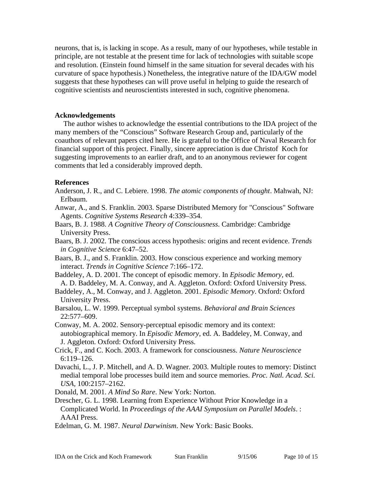neurons, that is, is lacking in scope. As a result, many of our hypotheses, while testable in principle, are not testable at the present time for lack of technologies with suitable scope and resolution. (Einstein found himself in the same situation for several decades with his curvature of space hypothesis.) Nonetheless, the integrative nature of the IDA/GW model suggests that these hypotheses can will prove useful in helping to guide the research of cognitive scientists and neuroscientists interested in such, cognitive phenomena.

## **Acknowledgements**

The author wishes to acknowledge the essential contributions to the IDA project of the many members of the "Conscious" Software Research Group and, particularly of the coauthors of relevant papers cited here. He is grateful to the Office of Naval Research for financial support of this project. Finally, sincere appreciation is due Christof Koch for suggesting improvements to an earlier draft, and to an anonymous reviewer for cogent comments that led a considerably improved depth.

## **References**

- Anderson, J. R., and C. Lebiere. 1998. *The atomic components of thought*. Mahwah, NJ: Erlbaum.
- Anwar, A., and S. Franklin. 2003. Sparse Distributed Memory for "Conscious" Software Agents. *Cognitive Systems Research* 4:339–354.
- Baars, B. J. 1988. *A Cognitive Theory of Consciousness*. Cambridge: Cambridge University Press.
- Baars, B. J. 2002. The conscious access hypothesis: origins and recent evidence. *Trends in Cognitive Science* 6:47–52.
- Baars, B. J., and S. Franklin. 2003. How conscious experience and working memory interact. *Trends in Cognitive Science* 7:166–172.
- Baddeley, A. D. 2001. The concept of episodic memory. In *Episodic Memory*, ed. A. D. Baddeley, M. A. Conway, and A. Aggleton. Oxford: Oxford University Press.
- Baddeley, A., M. Conway, and J. Aggleton. 2001. *Episodic Memory*. Oxford: Oxford University Press.
- Barsalou, L. W. 1999. Perceptual symbol systems. *Behavioral and Brain Sciences* 22:577–609.
- Conway, M. A. 2002. Sensory-perceptual episodic memory and its context: autobiographical memory. In *Episodic Memory*, ed. A. Baddeley, M. Conway, and J. Aggleton. Oxford: Oxford University Press.
- Crick, F., and C. Koch. 2003. A framework for consciousness. *Nature Neuroscience* 6:119–126.
- Davachi, L., J. P. Mitchell, and A. D. Wagner. 2003. Multiple routes to memory: Distinct medial temporal lobe processes build item and source memories. *Proc. Natl. Acad. Sci. USA,* 100:2157–2162.
- Donald, M. 2001. *A Mind So Rare*. New York: Norton.
- Drescher, G. L. 1998. Learning from Experience Without Prior Knowledge in a Complicated World. In *Proceedings of the AAAI Symposium on Parallel Models*. : AAAI Press.
- Edelman, G. M. 1987. *Neural Darwinism*. New York: Basic Books.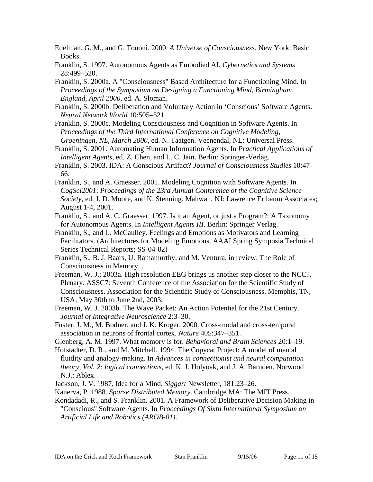- Edelman, G. M., and G. Tononi. 2000. *A Universe of Consciousness*. New York: Basic Books.
- Franklin, S. 1997. Autonomous Agents as Embodied AI. *Cybernetics and Systems* 28:499–520.
- Franklin, S. 2000a. A "Consciousness" Based Architecture for a Functioning Mind. In *Proceedings of the Symposium on Designing a Functioning Mind, Birmingham, England, April 2000*, ed. A. Sloman.
- Franklin, S. 2000b. Deliberation and Voluntary Action in 'Conscious' Software Agents. *Neural Network World* 10:505–521.
- Franklin, S. 2000c. Modeling Consciousness and Cognition in Software Agents. In *Proceedings of the Third International Conference on Cognitive Modeling, Groeningen, NL, March 2000*, ed. N. Taatgen. Veenendal, NL: Universal Press.
- Franklin, S. 2001. Automating Human Information Agents. In *Practical Applications of Intelligent Agents*, ed. Z. Chen, and L. C. Jain. Berlin: Springer-Verlag.
- Franklin, S. 2003. IDA: A Conscious Artifact? *Journal of Consciousness Studies* 10:47– 66.
- Franklin, S., and A. Graesser. 2001. Modeling Cognition with Software Agents. In *CogSci2001*: *Proceedings of the 23rd Annual Conference of the Cognitive Science Society*, ed. J. D. Moore, and K. Stenning. Mahwah, NJ: Lawrence Erlbaum Associates; August 1-4, 2001.
- Franklin, S., and A. C. Graesser. 1997. Is it an Agent, or just a Program?: A Taxonomy for Autonomous Agents. In *Intelligent Agents III*. Berlin: Springer Verlag.
- Franklin, S., and L. McCaulley. Feelings and Emotions as Motivators and Learning Facilitators. (Architectures for Modeling Emotions. AAAI Spring Symposia Technical Series Technical Reports; SS-04-02)
- Franklin, S., B. J. Baars, U. Ramamurthy, and M. Ventura. in review. The Role of Consciousness in Memory. .
- Freeman, W. J.; 2003a. High resolution EEG brings us another step closer to the NCC?. Plenary. ASSC7: Seventh Conference of the Association for the Scientific Study of Consciousness. Association for the Scientific Study of Consciousness. Memphis, TN, USA; May 30th to June 2nd, 2003.
- Freeman, W. J. 2003b. The Wave Packet: An Action Potential for the 21st Century. *Journal of Integrative Neuroscience* 2:3–30.
- Fuster, J. M., M. Bodner, and J. K. Kroger. 2000. Cross-modal and cross-temporal association in neurons of frontal cortex. *Nature* 405:347–351.
- Glenberg, A. M. 1997. What memory is for. *Behavioral and Brain Sciences* 20:1–19.
- Hofstadter, D. R., and M. Mitchell. 1994. The Copycat Project: A model of mental fluidity and analogy-making. In *Advances in connectionist and neural computation theory, Vol. 2: logical connections*, ed. K. J. Holyoak, and J. A. Barnden. Norwood N.J.: Ablex.
- Jackson, J. V. 1987. Idea for a Mind. *Siggart* Newsletter, 181:23–26.
- Kanerva, P. 1988. *Sparse Distributed Memory*. Cambridge MA: The MIT Press.
- Kondadadi, R., and S. Franklin. 2001. A Framework of Deliberative Decision Making in "Conscious" Software Agents. In *Proceedings Of Sixth International Symposium on Artificial Life and Robotics (AROB-01)*.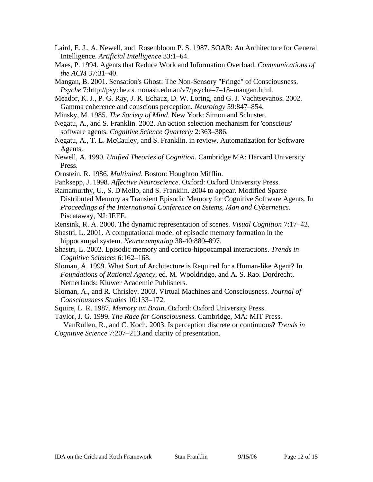- Laird, E. J., A. Newell, and Rosenbloom P. S. 1987. SOAR: An Architecture for General Intelligence. *Artificial Intelligence* 33:1–64.
- Maes, P. 1994. Agents that Reduce Work and Information Overload. *Communications of the ACM* 37:31–40.
- Mangan, B. 2001. Sensation's Ghost: The Non-Sensory "Fringe" of Consciousness. *Psyche* 7:http://psyche.cs.monash.edu.au/v7/psyche–7–18–mangan.html.
- Meador, K. J., P. G. Ray, J. R. Echauz, D. W. Loring, and G. J. Vachtsevanos. 2002. Gamma coherence and conscious perception. *Neurology* 59:847–854.
- Minsky, M. 1985. *The Society of Mind*. New York: Simon and Schuster.
- Negatu, A., and S. Franklin. 2002. An action selection mechanism for 'conscious' software agents. *Cognitive Science Quarterly* 2:363–386.
- Negatu, A., T. L. McCauley, and S. Franklin. in review. Automatization for Software Agents.
- Newell, A. 1990. *Unified Theories of Cognition*. Cambridge MA: Harvard University Press.
- Ornstein, R. 1986. *Multimind*. Boston: Houghton Mifflin.
- Panksepp, J. 1998. *Affective Neuroscience*. Oxford: Oxford University Press.
- Ramamurthy, U., S. D'Mello, and S. Franklin. 2004 to appear. Modified Sparse Distributed Memory as Transient Episodic Memory for Cognitive Software Agents. In *Proceedings of the International Conference on Sstems, Man and Cybernetics*. Piscataway, NJ: IEEE.
- Rensink, R. A. 2000. The dynamic representation of scenes. *Visual Cognition* 7:17–42.
- Shastri, L. 2001. A computational model of episodic memory formation in the hippocampal system. *Neurocomputing* 38-40:889–897.
- Shastri, L. 2002. Episodic memory and cortico-hippocampal interactions. *Trends in Cognitive Sciences* 6:162–168.
- Sloman, A. 1999. What Sort of Architecture is Required for a Human-like Agent? In *Foundations of Rational Agency*, ed. M. Wooldridge, and A. S. Rao. Dordrecht, Netherlands: Kluwer Academic Publishers.
- Sloman, A., and R. Chrisley. 2003. Virtual Machines and Consciousness. *Journal of Consciousness Studies* 10:133–172.
- Squire, L. R. 1987. *Memory an Brain*. Oxford: Oxford University Press.
- Taylor, J. G. 1999. *The Race for Consciousness*. Cambridge, MA: MIT Press.
- VanRullen, R., and C. Koch. 2003. Is perception discrete or continuous? *Trends in Cognitive Science* 7:207–213.and clarity of presentation.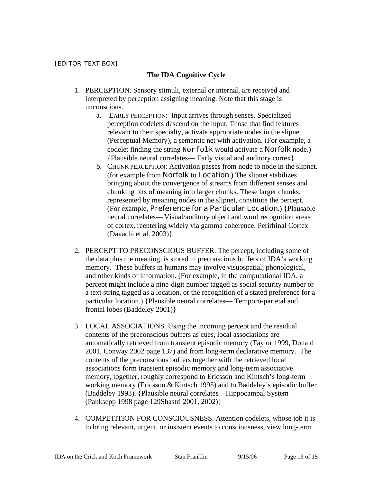## [EDITOR-TEXT BOX]

## **The IDA Cognitive Cycle**

- 1. PERCEPTION. Sensory stimuli, external or internal, are received and interpreted by perception assigning meaning. Note that this stage is unconscious.
	- a. EARLY PERCEPTION: Input arrives through senses. Specialized perception codelets descend on the input. Those that find features relevant to their specialty, activate appropriate nodes in the slipnet (Perceptual Memory), a semantic net with activation. (For example, a codelet finding the string Norfolk would activate a **Norfolk** node.) {Plausible neural correlates— Early visual and auditory cortex}
	- b. CHUNK PERCEPTION: Activation passes from node to node in the slipnet. (for example from **Norfolk** to **Location**.) The slipnet stabilizes bringing about the convergence of streams from different senses and chunking bits of meaning into larger chunks. These larger chunks, represented by meaning nodes in the slipnet, constitute the percept. (For example, **Preference for a Particular Location**.) {Plausable neural correlates— Visual/auditory object and word recognition areas of cortex, reentering widely via gamma coherence. Perirhinal Cortex (Davachi et al. 2003)}
- 2. PERCEPT TO PRECONSCIOUS BUFFER. The percept, including some of the data plus the meaning, is stored in preconscious buffers of IDA's working memory. These buffers in humans may involve visuospatial, phonological, and other kinds of information. (For example, in the computational IDA, a percept might include a nine-digit number tagged as social security number or a text string tagged as a location, or the recognition of a stated preference for a particular location.) {Plausible neural correlates— Temporo-parietal and frontal lobes (Baddeley 2001)}
- 3. LOCAL ASSOCIATIONS. Using the incoming percept and the residual contents of the preconscious buffers as cues, local associations are automatically retrieved from transient episodic memory (Taylor 1999, Donald 2001, Conway 2002 page 137) and from long-term declarative memory. The contents of the preconscious buffers together with the retrieved local associations form transient episodic memory and long-term associative memory, together, roughly correspond to Ericsson and Kintsch's long-term working memory (Ericsson & Kintsch 1995) and to Baddeley's episodic buffer (Baddeley 1993). {Plausible neural correlates—Hippocampal System (Panksepp 1998 page 129Shastri 2001, 2002)}
- 4. COMPETITION FOR CONSCIOUSNESS. Attention codelets, whose job it is to bring relevant, urgent, or insistent events to consciousness, view long-term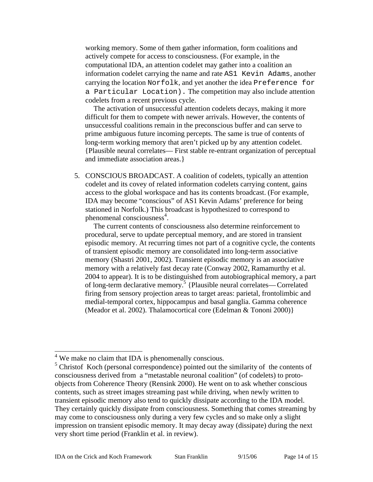working memory. Some of them gather information, form coalitions and actively compete for access to consciousness. (For example, in the computational IDA, an attention codelet may gather into a coalition an information codelet carrying the name and rate AS1 Kevin Adams, another carrying the location Norfolk, and yet another the idea Preference for a Particular Location). The competition may also include attention codelets from a recent previous cycle.

The activation of unsuccessful attention codelets decays, making it more difficult for them to compete with newer arrivals. However, the contents of unsuccessful coalitions remain in the preconscious buffer and can serve to prime ambiguous future incoming percepts. The same is true of contents of long-term working memory that aren't picked up by any attention codelet. {Plausible neural correlates— First stable re-entrant organization of perceptual and immediate association areas.}

5. CONSCIOUS BROADCAST. A coalition of codelets, typically an attention codelet and its covey of related information codelets carrying content, gains access to the global workspace and has its contents broadcast. (For example, IDA may become "conscious" of AS1 Kevin Adams' preference for being stationed in Norfolk.) This broadcast is hypothesized to correspond to phenomenal consciousness<sup>4</sup>.

The current contents of consciousness also determine reinforcement to procedural, serve to update perceptual memory, and are stored in transient episodic memory. At recurring times not part of a cognitive cycle, the contents of transient episodic memory are consolidated into long-term associative memory (Shastri 2001, 2002). Transient episodic memory is an associative memory with a relatively fast decay rate (Conway 2002, Ramamurthy et al. 2004 to appear). It is to be distinguished from autobiographical memory, a part of long-term declarative memory.<sup>5</sup> {Plausible neural correlates— Correlated firing from sensory projection areas to target areas: parietal, frontolimbic and medial-temporal cortex, hippocampus and basal ganglia. Gamma coherence (Meador et al. 2002). Thalamocortical core (Edelman & Tononi 2000)}

 $4$  We make no claim that IDA is phenomenally conscious.

<sup>&</sup>lt;sup>5</sup> Christof Koch (personal correspondence) pointed out the similarity of the contents of consciousness derived from a "metastable neuronal coalition" (of codelets) to protoobjects from Coherence Theory (Rensink 2000). He went on to ask whether conscious contents, such as street images streaming past while driving, when newly written to transient episodic memory also tend to quickly dissipate according to the IDA model. They certainly quickly dissipate from consciousness. Something that comes streaming by may come to consciousness only during a very few cycles and so make only a slight impression on transient episodic memory. It may decay away (dissipate) during the next very short time period (Franklin et al. in review).